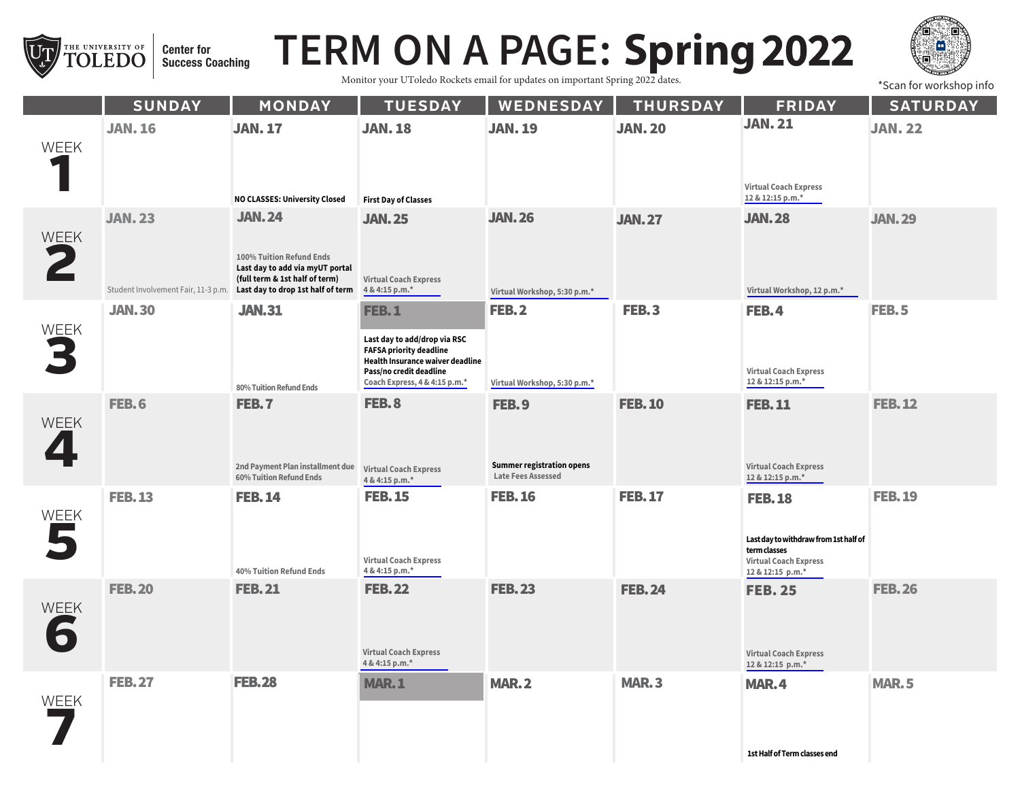

## **TERM ON A PAGE: Spring 2022**

Monitor your UToledo Rockets email for updates on important Spring 2022 dates.



\*Scan for workshop info

|             | <b>SUNDAY</b>                                         | <b>MONDAY</b>                                                                                                                                       | <b>TUESDAY</b>                                                                                                                                                                 | WEDNESDAY                                                       | <b>THURSDAY</b> | <b>FRIDAY</b>                                                                                                              | <b>SATURDAY</b> |
|-------------|-------------------------------------------------------|-----------------------------------------------------------------------------------------------------------------------------------------------------|--------------------------------------------------------------------------------------------------------------------------------------------------------------------------------|-----------------------------------------------------------------|-----------------|----------------------------------------------------------------------------------------------------------------------------|-----------------|
| <b>WEEK</b> | <b>JAN. 16</b>                                        | <b>JAN. 17</b><br>NO CLASSES: University Closed                                                                                                     | <b>JAN. 18</b><br><b>First Day of Classes</b>                                                                                                                                  | <b>JAN. 19</b>                                                  | <b>JAN. 20</b>  | <b>JAN. 21</b><br><b>Virtual Coach Express</b><br>12 & 12:15 p.m.*                                                         | <b>JAN. 22</b>  |
| WEEK        | <b>JAN. 23</b><br>Student Involvement Fair, 11-3 p.m. | <b>JAN.24</b><br>100% Tuition Refund Ends<br>Last day to add via myUT portal<br>(full term & 1st half of term)<br>Last day to drop 1st half of term | <b>JAN.25</b><br><b>Virtual Coach Express</b><br>4 & 4:15 p.m.*                                                                                                                | <b>JAN.26</b><br>Virtual Workshop, 5:30 p.m.*                   | <b>JAN.27</b>   | <b>JAN. 28</b><br>Virtual Workshop, 12 p.m.*                                                                               | <b>JAN.29</b>   |
| WEEK        | <b>JAN.30</b>                                         | <b>JAN.31</b><br>80% Tuition Refund Ends                                                                                                            | <b>FEB.1</b><br>Last day to add/drop via RSC<br><b>FAFSA priority deadline</b><br>Health Insurance waiver deadline<br>Pass/no credit deadline<br>Coach Express, 4 & 4:15 p.m.* | <b>FEB.2</b><br>Virtual Workshop, 5:30 p.m.*                    | <b>FEB.3</b>    | <b>FEB.4</b><br><b>Virtual Coach Express</b><br>12 & 12:15 p.m.*                                                           | FEB.5           |
| <b>WEEK</b> | <b>FEB.6</b>                                          | FEB.7<br>2nd Payment Plan installment due<br>60% Tuition Refund Ends                                                                                | <b>FEB.8</b><br><b>Virtual Coach Express</b><br>4 & 4:15 p.m.*                                                                                                                 | FEB.9<br><b>Summer registration opens</b><br>Late Fees Assessed | <b>FEB.10</b>   | <b>FEB.11</b><br><b>Virtual Coach Express</b><br>12 & 12:15 p.m.*                                                          | <b>FEB.12</b>   |
| WEEK        | <b>FEB.13</b>                                         | <b>FEB.14</b><br>40% Tuition Refund Ends                                                                                                            | <b>FEB. 15</b><br><b>Virtual Coach Express</b><br>4 & 4:15 p.m.*                                                                                                               | <b>FEB.16</b>                                                   | <b>FEB.17</b>   | <b>FEB.18</b><br>Last day to withdraw from 1st half of<br>term classes<br><b>Virtual Coach Express</b><br>12 & 12:15 p.m.* | <b>FEB. 19</b>  |
| WEEK        | <b>FEB.20</b>                                         | <b>FEB.21</b>                                                                                                                                       | <b>FEB.22</b><br><b>Virtual Coach Express</b><br>4 & 4:15 p.m.*                                                                                                                | <b>FEB.23</b>                                                   | <b>FEB.24</b>   | <b>FEB. 25</b><br><b>Virtual Coach Express</b><br>12 & 12:15 p.m.*                                                         | <b>FEB.26</b>   |
| <b>WEEK</b> | <b>FEB.27</b>                                         | <b>FEB.28</b>                                                                                                                                       | <b>MAR.1</b>                                                                                                                                                                   | <b>MAR.2</b>                                                    | <b>MAR.3</b>    | <b>MAR.4</b><br><b>1st Half of Term classes end</b>                                                                        | <b>MAR.5</b>    |